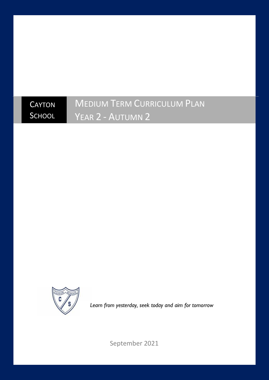### **CAYTON SCHOOL** MEDIUM TERM CURRICULUM PLAN YEAR 2 - AUTUMN 2



*Learn from yesterday, seek today and aim for tomorrow*

September 2021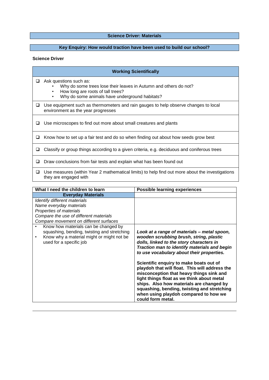## **Science Driver: Materials**<br> **Science Driver: Materials**

### **Key Enquiry: How would traction have been used to build our school?**

#### **Science Driver**

|   | <b>Working Scientifically</b>                                                                                                                                                                       |  |  |
|---|-----------------------------------------------------------------------------------------------------------------------------------------------------------------------------------------------------|--|--|
| ப | Ask questions such as:<br>Why do some trees lose their leaves in Autumn and others do not?<br>How long are roots of tall trees?<br>٠<br>Why do some animals have underground habitats?<br>$\bullet$ |  |  |
| ப | Use equipment such as thermometers and rain gauges to help observe changes to local<br>environment as the year progresses                                                                           |  |  |
|   | Use microscopes to find out more about small creatures and plants                                                                                                                                   |  |  |
| ப | Know how to set up a fair test and do so when finding out about how seeds grow best                                                                                                                 |  |  |
| ப | Classify or group things according to a given criteria, e.g. deciduous and coniferous trees                                                                                                         |  |  |
| ⊔ | Draw conclusions from fair tests and explain what has been found out                                                                                                                                |  |  |
| ப | Use measures (within Year 2 mathematical limits) to help find out more about the investigations<br>they are engaged with                                                                            |  |  |

| What I need the children to learn                                                                                                                                        | <b>Possible learning experiences</b>                                                                                                                                                                                                                                                                                                         |
|--------------------------------------------------------------------------------------------------------------------------------------------------------------------------|----------------------------------------------------------------------------------------------------------------------------------------------------------------------------------------------------------------------------------------------------------------------------------------------------------------------------------------------|
| <b>Everyday Materials</b>                                                                                                                                                |                                                                                                                                                                                                                                                                                                                                              |
| Identify different materials                                                                                                                                             |                                                                                                                                                                                                                                                                                                                                              |
| Name everyday materials                                                                                                                                                  |                                                                                                                                                                                                                                                                                                                                              |
| Properties of materials                                                                                                                                                  |                                                                                                                                                                                                                                                                                                                                              |
| Compare the use of different materials                                                                                                                                   |                                                                                                                                                                                                                                                                                                                                              |
| Compare movement on different surfaces                                                                                                                                   |                                                                                                                                                                                                                                                                                                                                              |
| Know how materials can be changed by<br>squashing, bending, twisting and stretching<br>Know why a material might or might not be<br>$\bullet$<br>used for a specific job | Look at a range of materials - metal spoon,<br>wooden scrubbing brush, string, plastic<br>dolls, linked to the story characters in<br>Traction man to identify materials and begin<br>to use vocabulary about their properties.                                                                                                              |
|                                                                                                                                                                          | Scientific enquiry to make boats out of<br>playdoh that will float. This will address the<br>misconception that heavy things sink and<br>light things float as we think about metal<br>ships. Also how materials are changed by<br>squashing, bending, twisting and stretching<br>when using playdoh compared to how we<br>could form metal. |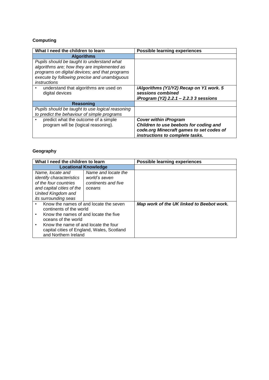## **Computing**

| What I need the children to learn                                                                                                                                                                           | <b>Possible learning experiences</b>                                                                               |
|-------------------------------------------------------------------------------------------------------------------------------------------------------------------------------------------------------------|--------------------------------------------------------------------------------------------------------------------|
| <b>Algorithms</b>                                                                                                                                                                                           |                                                                                                                    |
| Pupils should be taught to understand what<br>algorithms are; how they are implemented as<br>programs on digital devices; and that programs<br>execute by following precise and unambiguous<br>instructions |                                                                                                                    |
| understand that algorithms are used on<br>digital devices                                                                                                                                                   | iAlgorithms (Y1/Y2) Recap on Y1 work. 5<br>sessions combined<br>iProgram (Y2) 2.2.1 - 2.2.3 3 sessions             |
| <b>Reasoning</b>                                                                                                                                                                                            |                                                                                                                    |
| Pupils should be taught to use logical reasoning<br>to predict the behaviour of simple programs                                                                                                             |                                                                                                                    |
| predict what the outcome of a simple<br>program will be (logical reasoning).                                                                                                                                | <b>Cover within iProgram</b><br>Children to use beebots for coding and<br>code.org Minecraft games to set codes of |
|                                                                                                                                                                                                             | instructions to complete tasks.                                                                                    |

## **Geography**

| What I need the children to learn                                                                                                                                                                                                               |  | <b>Possible learning experiences</b>      |
|-------------------------------------------------------------------------------------------------------------------------------------------------------------------------------------------------------------------------------------------------|--|-------------------------------------------|
| <b>Locational Knowledge</b>                                                                                                                                                                                                                     |  |                                           |
| Name and locate the<br>Name, locate and<br>identify characteristics<br>world's seven<br>of the four countries<br>continents and five<br>and capital cities of the<br>oceans<br>United Kingdom and<br><i>its surrounding seas</i>                |  |                                           |
| Know the names of and locate the seven<br>continents of the world<br>Know the names of and locate the five<br>oceans of the world<br>Know the name of and locate the four<br>capital cities of England, Wales, Scotland<br>and Northern Ireland |  | Map work of the UK linked to Beebot work. |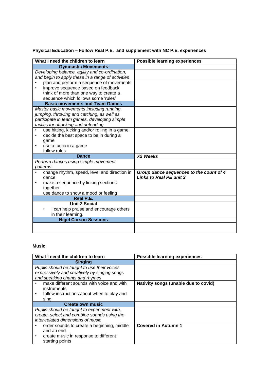# **Physical Education – Follow Real P.E. and supplement with NC P.E. experiences**

| What I need the children to learn                     | <b>Possible learning experiences</b>                                      |
|-------------------------------------------------------|---------------------------------------------------------------------------|
| <b>Gymnastic Movements</b>                            |                                                                           |
| Developing balance, agility and co-ordination,        |                                                                           |
| and begin to apply these in a range of activities     |                                                                           |
| plan and perform a sequence of movements<br>$\bullet$ |                                                                           |
| improve sequence based on feedback                    |                                                                           |
| think of more than one way to create a                |                                                                           |
| sequence which follows some 'rules'                   |                                                                           |
| <b>Basic movements and Team Games</b>                 |                                                                           |
| Master basic movements including running,             |                                                                           |
| jumping, throwing and catching, as well as            |                                                                           |
| participate in team games, developing simple          |                                                                           |
| tactics for attacking and defending                   |                                                                           |
| use hitting, kicking and/or rolling in a game         |                                                                           |
| decide the best space to be in during a<br>٠          |                                                                           |
| game                                                  |                                                                           |
| use a tactic in a game<br>٠                           |                                                                           |
| follow rules                                          |                                                                           |
| <b>Dance</b>                                          | X2 Weeks                                                                  |
| Perform dances using simple movement                  |                                                                           |
| patterns                                              |                                                                           |
| change rhythm, speed, level and direction in<br>dance | Group dance sequences to the count of 4<br><b>Links to Real PE unit 2</b> |
| make a sequence by linking sections<br>٠              |                                                                           |
| together                                              |                                                                           |
| use dance to show a mood or feeling                   |                                                                           |
| Real P.E.                                             |                                                                           |
| <b>Unit 2 Social</b>                                  |                                                                           |
| I can help praise and encourage others                |                                                                           |
| in their learning.                                    |                                                                           |
| <b>Nigel Carson Sessions</b>                          |                                                                           |
|                                                       |                                                                           |
|                                                       |                                                                           |

### **Music**

| What I need the children to learn            | <b>Possible learning experiences</b> |
|----------------------------------------------|--------------------------------------|
| <b>Singing</b>                               |                                      |
| Pupils should be taught to use their voices  |                                      |
| expressively and creatively by singing songs |                                      |
| and speaking chants and rhymes               |                                      |
| make different sounds with voice and with    | Nativity songs (unable due to covid) |
| instruments                                  |                                      |
| follow instructions about when to play and   |                                      |
| sing                                         |                                      |
| <b>Create own music</b>                      |                                      |
| Pupils should be taught to experiment with,  |                                      |
| create, select and combine sounds using the  |                                      |
| inter-related dimensions of music            |                                      |
| order sounds to create a beginning, middle   | <b>Covered in Autumn 1</b>           |
| and an end                                   |                                      |
| create music in response to different<br>٠   |                                      |
| starting points                              |                                      |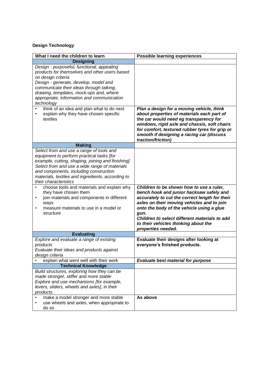## **Design Technology**

| What I need the children to learn                                                                                                                                                                                                                                                                                                                          | <b>Possible learning experiences</b>                                                                                                                                                                                                                                                                                                                     |
|------------------------------------------------------------------------------------------------------------------------------------------------------------------------------------------------------------------------------------------------------------------------------------------------------------------------------------------------------------|----------------------------------------------------------------------------------------------------------------------------------------------------------------------------------------------------------------------------------------------------------------------------------------------------------------------------------------------------------|
| <b>Designing</b>                                                                                                                                                                                                                                                                                                                                           |                                                                                                                                                                                                                                                                                                                                                          |
| Design - purposeful, functional, appealing<br>products for themselves and other users based<br>on design criteria<br>Design - generate, develop, model and<br>communicate their ideas through talking,<br>drawing, templates, mock-ups and, where<br>appropriate, information and communication<br>technology<br>think of an idea and plan what to do next | Plan a design for a moving vehicle, think                                                                                                                                                                                                                                                                                                                |
| explain why they have chosen specific<br>textiles                                                                                                                                                                                                                                                                                                          | about properties of materials each part of<br>the car would need eg transparency for<br>windows, rigid axle and chassis, soft chairs<br>for comfort, textured rubber tyres for grip or<br>smooth if designing a racing car (discuss<br>traction/friction)                                                                                                |
| <b>Making</b>                                                                                                                                                                                                                                                                                                                                              |                                                                                                                                                                                                                                                                                                                                                          |
| Select from and use a range of tools and<br>equipment to perform practical tasks [for<br>example, cutting, shaping, joining and finishing]<br>Select from and use a wide range of materials<br>and components, including construction<br>materials, textiles and ingredients, according to<br>their characteristics                                        |                                                                                                                                                                                                                                                                                                                                                          |
| choose tools and materials and explain why<br>they have chosen them<br>join materials and components in different<br>٠<br>ways<br>measure materials to use in a model or<br>٠<br>structure                                                                                                                                                                 | Children to be shown how to use a ruler,<br>bench hook and junior hacksaw safely and<br>accurately to cut the correct length for their<br>axles on their moving vehicles and to join<br>onto the body of the vehicle using a glue<br>gun.<br>Children to select different materials to add<br>to their vehicles thinking about the<br>properties needed. |
| <b>Evaluating</b>                                                                                                                                                                                                                                                                                                                                          |                                                                                                                                                                                                                                                                                                                                                          |
| Explore and evaluate a range of existing<br>products<br>Evaluate their ideas and products against<br>design criteria                                                                                                                                                                                                                                       | Evaluate their designs after looking at<br>everyone's finished products.                                                                                                                                                                                                                                                                                 |
| explain what went well with their work                                                                                                                                                                                                                                                                                                                     | <b>Evaluate best material for purpose</b>                                                                                                                                                                                                                                                                                                                |
| <b>Technical Knowledge</b>                                                                                                                                                                                                                                                                                                                                 |                                                                                                                                                                                                                                                                                                                                                          |
| Build structures, exploring how they can be<br>made stronger, stiffer and more stable<br>Explore and use mechanisms [for example,<br>levers, sliders, wheels and axles], in their<br>products.                                                                                                                                                             |                                                                                                                                                                                                                                                                                                                                                          |
| make a model stronger and more stable<br>use wheels and axles, when appropriate to<br>٠<br>do so                                                                                                                                                                                                                                                           | As above                                                                                                                                                                                                                                                                                                                                                 |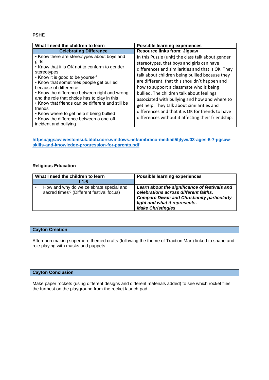#### **PSHE**

| What I need the children to learn                                                                                                                                                                                                                                                                                                                                                                                                                                                                               | <b>Possible learning experiences</b>                                                                                                                                                                                                                                                                                                                                                                                                                                                                                                                     |
|-----------------------------------------------------------------------------------------------------------------------------------------------------------------------------------------------------------------------------------------------------------------------------------------------------------------------------------------------------------------------------------------------------------------------------------------------------------------------------------------------------------------|----------------------------------------------------------------------------------------------------------------------------------------------------------------------------------------------------------------------------------------------------------------------------------------------------------------------------------------------------------------------------------------------------------------------------------------------------------------------------------------------------------------------------------------------------------|
| <b>Celebrating Difference</b>                                                                                                                                                                                                                                                                                                                                                                                                                                                                                   | <b>Resource links from: Jigsaw</b>                                                                                                                                                                                                                                                                                                                                                                                                                                                                                                                       |
| • Know there are stereotypes about boys and<br>girls<br>• Know that it is OK not to conform to gender<br>stereotypes<br>• Know it is good to be yourself<br>• Know that sometimes people get bullied<br>because of difference<br>• Know the difference between right and wrong<br>and the role that choice has to play in this<br>• Know that friends can be different and still be<br>friends<br>• Know where to get help if being bullied<br>• Know the difference between a one-off<br>incident and bullying | In this Puzzle (unit) the class talk about gender<br>stereotypes, that boys and girls can have<br>differences and similarities and that is OK. They<br>talk about children being bullied because they<br>are different, that this shouldn't happen and<br>how to support a classmate who is being<br>bullied. The children talk about feelings<br>associated with bullying and how and where to<br>get help. They talk about similarities and<br>differences and that it is OK for friends to have<br>differences without it affecting their friendship. |

**[https://jigsawlivestcmsuk.blob.core.windows.net/umbraco-media/l5fjlywi/03-ages-6-7-jigsaw](https://jigsawlivestcmsuk.blob.core.windows.net/umbraco-media/l5fjlywi/03-ages-6-7-jigsaw-skills-and-knowledge-progression-for-parents.pdf)[skills-and-knowledge-progression-for-parents.pdf](https://jigsawlivestcmsuk.blob.core.windows.net/umbraco-media/l5fjlywi/03-ages-6-7-jigsaw-skills-and-knowledge-progression-for-parents.pdf)**

#### **Religious Education**

| What I need the children to learn |                                                                                     | <b>Possible learning experiences</b>                                                                                                                                                                       |
|-----------------------------------|-------------------------------------------------------------------------------------|------------------------------------------------------------------------------------------------------------------------------------------------------------------------------------------------------------|
|                                   | L1.6                                                                                |                                                                                                                                                                                                            |
|                                   | How and why do we celebrate special and<br>sacred times? (Different festival focus) | Learn about the significance of festivals and<br>celebrations across different faiths.<br><b>Compare Diwali and Christianity particularly</b><br>light and what it represents.<br><b>Make Christingles</b> |

#### **Cayton Creation**

Afternoon making superhero themed crafts (following the theme of Traction Man) linked to shape and role playing with masks and puppets.

#### **Cayton Conclusion**

Make paper rockets (using different designs and different materials added) to see which rocket flies the furthest on the playground from the rocket launch pad.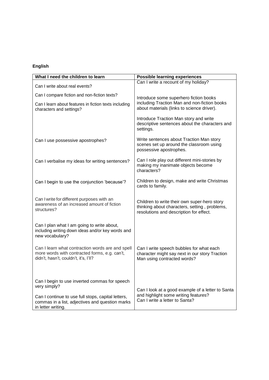## **English**

| What I need the children to learn                                                                                                          | <b>Possible learning experiences</b>                                                                                                     |  |
|--------------------------------------------------------------------------------------------------------------------------------------------|------------------------------------------------------------------------------------------------------------------------------------------|--|
| Can I write about real events?                                                                                                             | Can I write a recount of my holiday?                                                                                                     |  |
| Can I compare fiction and non-fiction texts?                                                                                               | Introduce some superhero fiction books                                                                                                   |  |
| Can I learn about features in fiction texts including<br>characters and settings?                                                          | including Traction Man and non-fiction books<br>about materials (links to science driver).                                               |  |
|                                                                                                                                            | Introduce Traction Man story and write<br>descriptive sentences about the characters and<br>settings.                                    |  |
| Can I use possessive apostrophes?                                                                                                          | Write sentences about Traction Man story<br>scenes set up around the classroom using<br>possessive apostrophes.                          |  |
| Can I verbalise my ideas for writing sentences?                                                                                            | Can I role play out different mini-stories by<br>making my inanimate objects become<br>characters?                                       |  |
| Can I begin to use the conjunction 'because'?                                                                                              | Children to design, make and write Christmas<br>cards to family.                                                                         |  |
| Can I write for different purposes with an<br>awareness of an increased amount of fiction<br>structures?                                   | Children to write their own super-hero story<br>thinking about characters, setting, problems,<br>resolutions and description for effect. |  |
| Can I plan what I am going to write about,<br>including writing down ideas and/or key words and<br>new vocabulary?                         |                                                                                                                                          |  |
| Can I learn what contraction words are and spell<br>more words with contracted forms, e.g. can't,<br>didn't, hasn't, couldn't, it's, I'll? | Can I write speech bubbles for what each<br>character might say next in our story Traction<br>Man using contracted words?                |  |
| Can I begin to use inverted commas for speech<br>very simply?<br>Can I continue to use full stops, capital letters,                        | Can I look at a good example of a letter to Santa<br>and highlight some writing features?                                                |  |
| commas in a list, adjectives and question marks<br>in letter writing.                                                                      | Can I write a letter to Santa?                                                                                                           |  |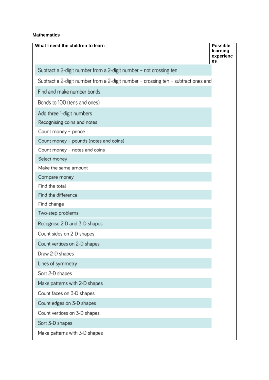#### **Mathematics**

| What I need the children to learn                                                  | <b>Possible</b><br>learning<br>experienc<br>es |
|------------------------------------------------------------------------------------|------------------------------------------------|
| Subtract a 2-digit number from a 2-digit number - not crossing ten                 |                                                |
| Subtract a 2-digit number from a 2-digit number – crossing ten – subtract ones and |                                                |
| Find and make number bonds                                                         |                                                |
| Bonds to 100 (tens and ones)                                                       |                                                |
| Add three 1-digit numbers                                                          |                                                |
| Recognising coins and notes                                                        |                                                |
| Count money - pence                                                                |                                                |
| Count money - pounds (notes and coins)                                             |                                                |
| Count money - notes and coins                                                      |                                                |
| Select money                                                                       |                                                |
| Make the same amount                                                               |                                                |
| Compare money                                                                      |                                                |
| Find the total                                                                     |                                                |
| Find the difference                                                                |                                                |
| Find change                                                                        |                                                |
| Two-step problems                                                                  |                                                |
| Recognise 2-D and 3-D shapes                                                       |                                                |
| Count sides on 2-D shapes                                                          |                                                |
| Count vertices on 2-D shapes                                                       |                                                |
| Draw 2-D shapes                                                                    |                                                |
| Lines of symmetry                                                                  |                                                |
| Sort 2-D shapes                                                                    |                                                |
| Make patterns with 2-D shapes                                                      |                                                |
| Count faces on 3-D shapes                                                          |                                                |
| Count edges on 3-D shapes                                                          |                                                |
| Count vertices on 3-D shapes                                                       |                                                |
| Sort 3-D shapes                                                                    |                                                |
| Make patterns with 3-D shapes                                                      |                                                |